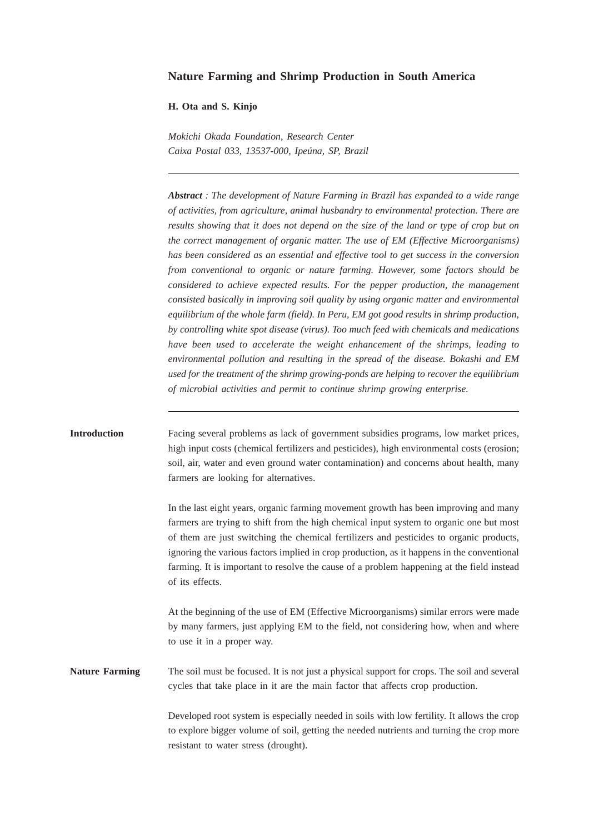## **Nature Farming and Shrimp Production in South America**

## **H. Ota and S. Kinjo**

*Mokichi Okada Foundation, Research Center Caixa Postal 033, 13537-000, Ipeúna, SP, Brazil*

*Abstract : The development of Nature Farming in Brazil has expanded to a wide range of activities, from agriculture, animal husbandry to environmental protection. There are results showing that it does not depend on the size of the land or type of crop but on the correct management of organic matter. The use of EM (Effective Microorganisms) has been considered as an essential and effective tool to get success in the conversion from conventional to organic or nature farming. However, some factors should be considered to achieve expected results. For the pepper production, the management consisted basically in improving soil quality by using organic matter and environmental equilibrium of the whole farm (field). In Peru, EM got good results in shrimp production, by controlling white spot disease (virus). Too much feed with chemicals and medications have been used to accelerate the weight enhancement of the shrimps, leading to environmental pollution and resulting in the spread of the disease. Bokashi and EM used for the treatment of the shrimp growing-ponds are helping to recover the equilibrium of microbial activities and permit to continue shrimp growing enterprise.*

**Introduction** Facing several problems as lack of government subsidies programs, low market prices, high input costs (chemical fertilizers and pesticides), high environmental costs (erosion; soil, air, water and even ground water contamination) and concerns about health, many farmers are looking for alternatives.

> In the last eight years, organic farming movement growth has been improving and many farmers are trying to shift from the high chemical input system to organic one but most of them are just switching the chemical fertilizers and pesticides to organic products, ignoring the various factors implied in crop production, as it happens in the conventional farming. It is important to resolve the cause of a problem happening at the field instead of its effects.

> At the beginning of the use of EM (Effective Microorganisms) similar errors were made by many farmers, just applying EM to the field, not considering how, when and where to use it in a proper way.

**Nature Farming** The soil must be focused. It is not just a physical support for crops. The soil and several cycles that take place in it are the main factor that affects crop production.

> Developed root system is especially needed in soils with low fertility. It allows the crop to explore bigger volume of soil, getting the needed nutrients and turning the crop more resistant to water stress (drought).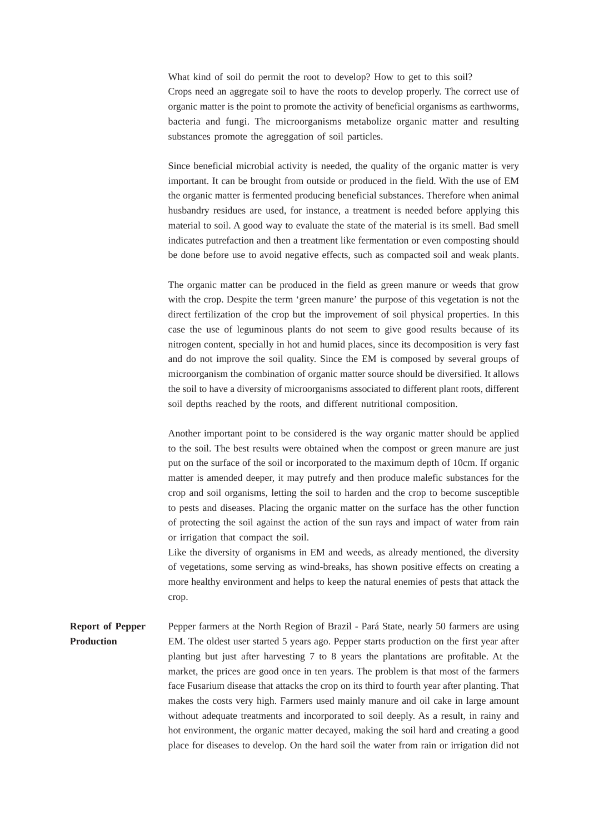What kind of soil do permit the root to develop? How to get to this soil? Crops need an aggregate soil to have the roots to develop properly. The correct use of organic matter is the point to promote the activity of beneficial organisms as earthworms, bacteria and fungi. The microorganisms metabolize organic matter and resulting substances promote the agreggation of soil particles.

Since beneficial microbial activity is needed, the quality of the organic matter is very important. It can be brought from outside or produced in the field. With the use of EM the organic matter is fermented producing beneficial substances. Therefore when animal husbandry residues are used, for instance, a treatment is needed before applying this material to soil. A good way to evaluate the state of the material is its smell. Bad smell indicates putrefaction and then a treatment like fermentation or even composting should be done before use to avoid negative effects, such as compacted soil and weak plants.

The organic matter can be produced in the field as green manure or weeds that grow with the crop. Despite the term 'green manure' the purpose of this vegetation is not the direct fertilization of the crop but the improvement of soil physical properties. In this case the use of leguminous plants do not seem to give good results because of its nitrogen content, specially in hot and humid places, since its decomposition is very fast and do not improve the soil quality. Since the EM is composed by several groups of microorganism the combination of organic matter source should be diversified. It allows the soil to have a diversity of microorganisms associated to different plant roots, different soil depths reached by the roots, and different nutritional composition.

Another important point to be considered is the way organic matter should be applied to the soil. The best results were obtained when the compost or green manure are just put on the surface of the soil or incorporated to the maximum depth of 10cm. If organic matter is amended deeper, it may putrefy and then produce malefic substances for the crop and soil organisms, letting the soil to harden and the crop to become susceptible to pests and diseases. Placing the organic matter on the surface has the other function of protecting the soil against the action of the sun rays and impact of water from rain or irrigation that compact the soil.

Like the diversity of organisms in EM and weeds, as already mentioned, the diversity of vegetations, some serving as wind-breaks, has shown positive effects on creating a more healthy environment and helps to keep the natural enemies of pests that attack the crop.

Report of Pepper<br>
Pepper<br>
Pepper farmers at the North Region of Brazil - Pará State, nearly 50 farmers are using **Production** EM. The oldest user started 5 years ago. Pepper starts production on the first year after planting but just after harvesting 7 to 8 years the plantations are profitable. At the market, the prices are good once in ten years. The problem is that most of the farmers face Fusarium disease that attacks the crop on its third to fourth year after planting. That makes the costs very high. Farmers used mainly manure and oil cake in large amount without adequate treatments and incorporated to soil deeply. As a result, in rainy and hot environment, the organic matter decayed, making the soil hard and creating a good place for diseases to develop. On the hard soil the water from rain or irrigation did not